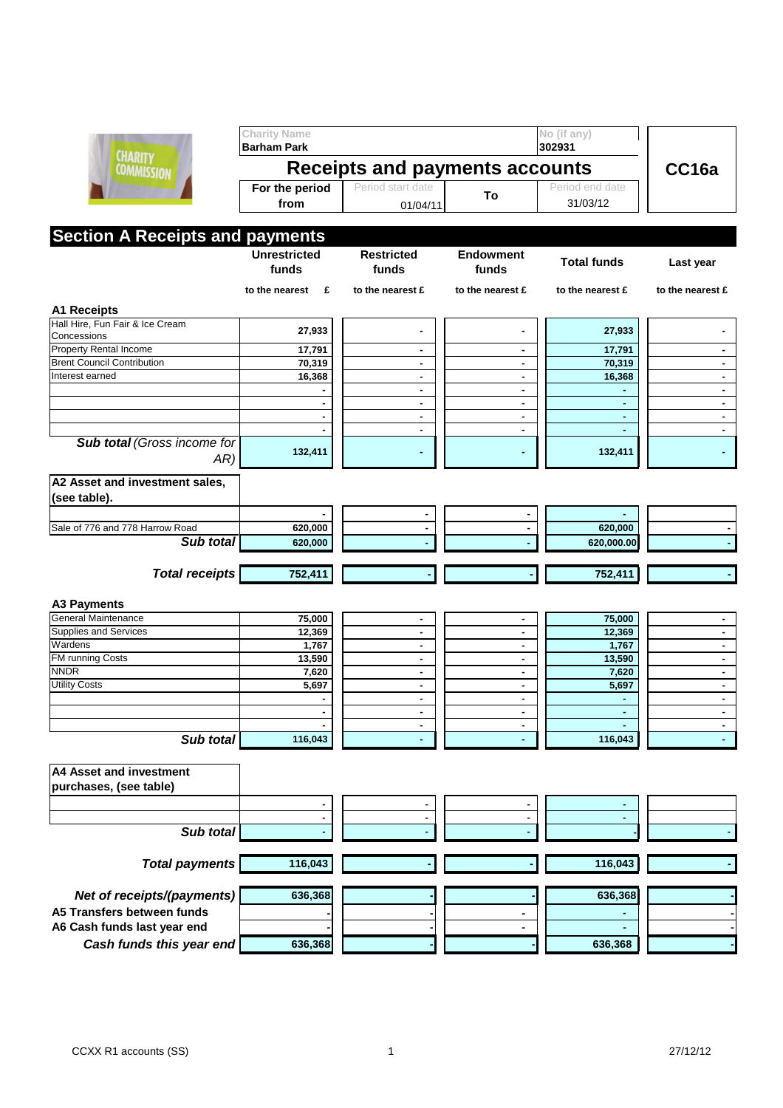

|                                                | <b>Charity Name</b><br><b>Barham Park</b> |                            |                           | No (if any)<br>302931 |                  |  |  |  |
|------------------------------------------------|-------------------------------------------|----------------------------|---------------------------|-----------------------|------------------|--|--|--|
| <b>CHARITY</b><br><b>COMMISSION</b>            | Receipts and payments accounts            |                            |                           |                       | CC16a            |  |  |  |
|                                                | For the period                            | Period start date          | To                        | Period end date       |                  |  |  |  |
|                                                | from                                      | 01/04/11                   |                           | 31/03/12              |                  |  |  |  |
|                                                |                                           |                            |                           |                       |                  |  |  |  |
| <b>Section A Receipts and payments</b>         |                                           |                            |                           |                       |                  |  |  |  |
|                                                | <b>Unrestricted</b><br>funds              | <b>Restricted</b><br>funds | <b>Endowment</b><br>funds | <b>Total funds</b>    | Last year        |  |  |  |
|                                                | to the nearest<br>E                       | to the nearest £           | to the nearest £          | to the nearest £      | to the nearest £ |  |  |  |
|                                                |                                           |                            |                           |                       |                  |  |  |  |
| <b>A1 Receipts</b>                             |                                           |                            |                           |                       |                  |  |  |  |
| Hall Hire, Fun Fair & Ice Cream<br>Concessions | 27,933                                    | ۰                          |                           | 27,933                |                  |  |  |  |
| <b>Property Rental Income</b>                  | 17,791                                    | ٠                          | ۰                         | 17,791                |                  |  |  |  |
| <b>Brent Council Contribution</b>              | 70,319                                    | ٠                          | ٠                         | 70,319                |                  |  |  |  |
| Interest earned                                | 16,368                                    | $\blacksquare$             | $\blacksquare$            | 16,368                | $\blacksquare$   |  |  |  |
|                                                |                                           | $\blacksquare$             | $\blacksquare$            |                       | Ξ.               |  |  |  |
|                                                |                                           | $\blacksquare$             | $\blacksquare$            | $\blacksquare$        | $\blacksquare$   |  |  |  |
|                                                |                                           | $\blacksquare$             | $\blacksquare$            | $\blacksquare$        | Ξ.               |  |  |  |
|                                                |                                           | $\blacksquare$             |                           |                       |                  |  |  |  |
| <b>Sub total (Gross income for</b><br>AR)      | 132,411                                   | ۰                          |                           | 132,411               |                  |  |  |  |
|                                                |                                           |                            |                           |                       |                  |  |  |  |
| A2 Asset and investment sales,<br>(see table). |                                           |                            |                           |                       |                  |  |  |  |
|                                                |                                           |                            |                           |                       |                  |  |  |  |
| Sale of 776 and 778 Harrow Road                | 620,000                                   |                            |                           | 620,000               |                  |  |  |  |
| Sub total                                      | 620,000                                   |                            |                           | 620,000.00            |                  |  |  |  |
|                                                |                                           |                            |                           |                       |                  |  |  |  |
| <b>Total receipts</b>                          | 752,411                                   |                            |                           | 752,411               |                  |  |  |  |
| <b>A3 Payments</b>                             |                                           |                            |                           |                       |                  |  |  |  |
| General Maintenance                            | 75,000                                    |                            | ٠                         | 75,000                |                  |  |  |  |
| <b>Supplies and Services</b>                   | 12,369                                    | ٠<br>$\blacksquare$        | $\blacksquare$            | 12,369                |                  |  |  |  |
| Wardens                                        | 1,767                                     | $\blacksquare$             | $\blacksquare$            | 1,767                 | Ξ.               |  |  |  |
| FM running Costs                               | 13,590                                    | $\blacksquare$             | $\blacksquare$            | 13,590                | Ξ.               |  |  |  |
| <b>NNDR</b>                                    | 7,620                                     | $\blacksquare$             | ۰                         | 7,620                 | $\blacksquare$   |  |  |  |
| <b>Utility Costs</b>                           | 5,697                                     | $\blacksquare$             | ۰                         | 5,697                 |                  |  |  |  |
|                                                |                                           | $\blacksquare$             | $\blacksquare$            |                       | $\blacksquare$   |  |  |  |
|                                                |                                           | $\blacksquare$             | ٠                         | $\blacksquare$        | $\blacksquare$   |  |  |  |
|                                                |                                           | $\blacksquare$             | $\blacksquare$            | ٠                     | $\blacksquare$   |  |  |  |
| Sub total                                      | 116,043                                   |                            |                           | 116,043               |                  |  |  |  |
| <b>A4 Asset and investment</b>                 |                                           |                            |                           |                       |                  |  |  |  |
| purchases, (see table)                         |                                           |                            |                           |                       |                  |  |  |  |
|                                                |                                           |                            |                           |                       |                  |  |  |  |
|                                                |                                           |                            | ۰<br>-                    |                       |                  |  |  |  |
| Sub total                                      |                                           |                            |                           |                       |                  |  |  |  |
|                                                |                                           |                            |                           |                       |                  |  |  |  |
| <b>Total payments</b>                          | 116,043                                   |                            |                           | 116,043               |                  |  |  |  |
|                                                |                                           |                            |                           |                       |                  |  |  |  |
| Net of receipts/(payments)                     | 636,368                                   |                            |                           | 636,368               |                  |  |  |  |
| A5 Transfers between funds                     |                                           |                            |                           | ٠                     |                  |  |  |  |
| A6 Cash funds last year end                    |                                           |                            |                           |                       |                  |  |  |  |
| Cash funds this year end                       | 636,368                                   |                            |                           | 636,368               |                  |  |  |  |
|                                                |                                           |                            |                           |                       |                  |  |  |  |